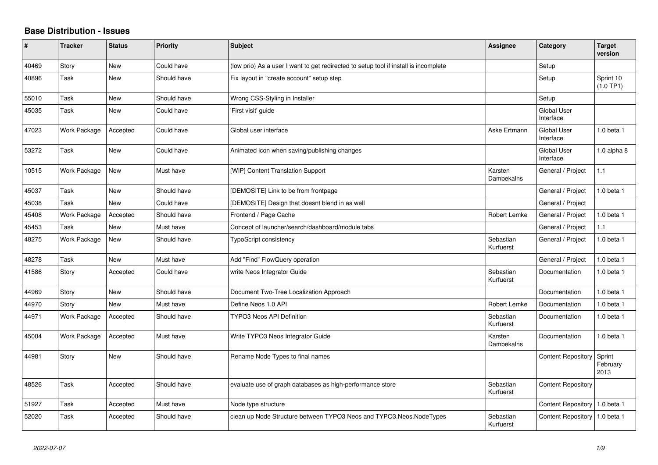## **Base Distribution - Issues**

| #     | <b>Tracker</b> | <b>Status</b> | <b>Priority</b> | <b>Subject</b>                                                                       | Assignee               | Category                        | <b>Target</b><br>version   |
|-------|----------------|---------------|-----------------|--------------------------------------------------------------------------------------|------------------------|---------------------------------|----------------------------|
| 40469 | Story          | <b>New</b>    | Could have      | (low prio) As a user I want to get redirected to setup tool if install is incomplete |                        | Setup                           |                            |
| 40896 | Task           | New           | Should have     | Fix layout in "create account" setup step                                            |                        | Setup                           | Sprint 10<br>(1.0 TP1)     |
| 55010 | Task           | <b>New</b>    | Should have     | Wrong CSS-Styling in Installer                                                       |                        | Setup                           |                            |
| 45035 | Task           | New           | Could have      | 'First visit' guide                                                                  |                        | Global User<br>Interface        |                            |
| 47023 | Work Package   | Accepted      | Could have      | Global user interface                                                                | Aske Ertmann           | Global User<br>Interface        | 1.0 beta 1                 |
| 53272 | Task           | <b>New</b>    | Could have      | Animated icon when saving/publishing changes                                         |                        | Global User<br>Interface        | 1.0 alpha 8                |
| 10515 | Work Package   | New           | Must have       | [WIP] Content Translation Support                                                    | Karsten<br>Dambekalns  | General / Project               | 1.1                        |
| 45037 | Task           | <b>New</b>    | Should have     | [DEMOSITE] Link to be from frontpage                                                 |                        | General / Project               | $1.0$ beta $1$             |
| 45038 | Task           | New           | Could have      | [DEMOSITE] Design that doesnt blend in as well                                       |                        | General / Project               |                            |
| 45408 | Work Package   | Accepted      | Should have     | Frontend / Page Cache                                                                | Robert Lemke           | General / Project               | 1.0 beta 1                 |
| 45453 | Task           | New           | Must have       | Concept of launcher/search/dashboard/module tabs                                     |                        | General / Project               | 1.1                        |
| 48275 | Work Package   | New           | Should have     | <b>TypoScript consistency</b>                                                        | Sebastian<br>Kurfuerst | General / Project               | $1.0$ beta $1$             |
| 48278 | Task           | <b>New</b>    | Must have       | Add "Find" FlowQuery operation                                                       |                        | General / Project               | $1.0$ beta $1$             |
| 41586 | Story          | Accepted      | Could have      | write Neos Integrator Guide                                                          | Sebastian<br>Kurfuerst | Documentation                   | 1.0 beta 1                 |
| 44969 | Story          | New           | Should have     | Document Two-Tree Localization Approach                                              |                        | Documentation                   | 1.0 beta 1                 |
| 44970 | Story          | <b>New</b>    | Must have       | Define Neos 1.0 API                                                                  | <b>Robert Lemke</b>    | Documentation                   | $1.0$ beta $1$             |
| 44971 | Work Package   | Accepted      | Should have     | <b>TYPO3 Neos API Definition</b>                                                     | Sebastian<br>Kurfuerst | Documentation                   | 1.0 beta $1$               |
| 45004 | Work Package   | Accepted      | Must have       | Write TYPO3 Neos Integrator Guide                                                    | Karsten<br>Dambekalns  | Documentation                   | $1.0$ beta $1$             |
| 44981 | Story          | New           | Should have     | Rename Node Types to final names                                                     |                        | <b>Content Repository</b>       | Sprint<br>February<br>2013 |
| 48526 | Task           | Accepted      | Should have     | evaluate use of graph databases as high-performance store                            | Sebastian<br>Kurfuerst | <b>Content Repository</b>       |                            |
| 51927 | Task           | Accepted      | Must have       | Node type structure                                                                  |                        | Content Repository   1.0 beta 1 |                            |
| 52020 | Task           | Accepted      | Should have     | clean up Node Structure between TYPO3 Neos and TYPO3. Neos. Node Types               | Sebastian<br>Kurfuerst | <b>Content Repository</b>       | $1.0$ beta 1               |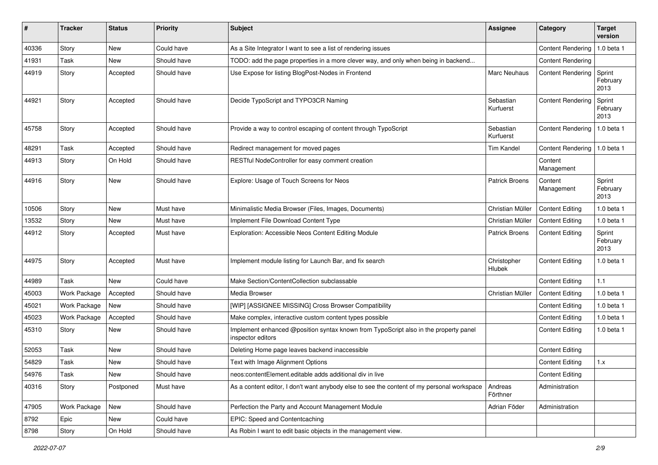| #     | <b>Tracker</b> | <b>Status</b> | <b>Priority</b> | <b>Subject</b>                                                                                            | <b>Assignee</b>        | Category                       | <b>Target</b><br>version   |
|-------|----------------|---------------|-----------------|-----------------------------------------------------------------------------------------------------------|------------------------|--------------------------------|----------------------------|
| 40336 | Story          | <b>New</b>    | Could have      | As a Site Integrator I want to see a list of rendering issues                                             |                        | <b>Content Rendering</b>       | 1.0 beta 1                 |
| 41931 | Task           | New           | Should have     | TODO: add the page properties in a more clever way, and only when being in backend                        |                        | <b>Content Rendering</b>       |                            |
| 44919 | Story          | Accepted      | Should have     | Use Expose for listing BlogPost-Nodes in Frontend                                                         | Marc Neuhaus           | <b>Content Rendering</b>       | Sprint<br>February<br>2013 |
| 44921 | Story          | Accepted      | Should have     | Decide TypoScript and TYPO3CR Naming                                                                      | Sebastian<br>Kurfuerst | <b>Content Rendering</b>       | Sprint<br>February<br>2013 |
| 45758 | Story          | Accepted      | Should have     | Provide a way to control escaping of content through TypoScript                                           | Sebastian<br>Kurfuerst | Content Rendering              | 1.0 beta 1                 |
| 48291 | Task           | Accepted      | Should have     | Redirect management for moved pages                                                                       | <b>Tim Kandel</b>      | Content Rendering   1.0 beta 1 |                            |
| 44913 | Story          | On Hold       | Should have     | RESTful NodeController for easy comment creation                                                          |                        | Content<br>Management          |                            |
| 44916 | Story          | New           | Should have     | Explore: Usage of Touch Screens for Neos                                                                  | <b>Patrick Broens</b>  | Content<br>Management          | Sprint<br>February<br>2013 |
| 10506 | Story          | <b>New</b>    | Must have       | Minimalistic Media Browser (Files, Images, Documents)                                                     | Christian Müller       | <b>Content Editing</b>         | 1.0 beta 1                 |
| 13532 | Story          | New           | Must have       | Implement File Download Content Type                                                                      | Christian Müller       | <b>Content Editing</b>         | 1.0 beta 1                 |
| 44912 | Story          | Accepted      | Must have       | Exploration: Accessible Neos Content Editing Module                                                       | <b>Patrick Broens</b>  | <b>Content Editing</b>         | Sprint<br>February<br>2013 |
| 44975 | Story          | Accepted      | Must have       | Implement module listing for Launch Bar, and fix search                                                   | Christopher<br>Hlubek  | <b>Content Editing</b>         | 1.0 beta 1                 |
| 44989 | Task           | <b>New</b>    | Could have      | Make Section/ContentCollection subclassable                                                               |                        | <b>Content Editing</b>         | 1.1                        |
| 45003 | Work Package   | Accepted      | Should have     | Media Browser                                                                                             | Christian Müller       | <b>Content Editing</b>         | $1.0$ beta $1$             |
| 45021 | Work Package   | <b>New</b>    | Should have     | [WIP] [ASSIGNEE MISSING] Cross Browser Compatibility                                                      |                        | <b>Content Editing</b>         | 1.0 beta 1                 |
| 45023 | Work Package   | Accepted      | Should have     | Make complex, interactive custom content types possible                                                   |                        | <b>Content Editing</b>         | 1.0 beta 1                 |
| 45310 | Story          | <b>New</b>    | Should have     | Implement enhanced @position syntax known from TypoScript also in the property panel<br>inspector editors |                        | <b>Content Editing</b>         | 1.0 beta 1                 |
| 52053 | Task           | <b>New</b>    | Should have     | Deleting Home page leaves backend inaccessible                                                            |                        | <b>Content Editing</b>         |                            |
| 54829 | Task           | New           | Should have     | Text with Image Alignment Options                                                                         |                        | <b>Content Editing</b>         | 1.x                        |
| 54976 | Task           | New           | Should have     | neos:contentElement.editable adds additional div in live                                                  |                        | Content Editing                |                            |
| 40316 | Story          | Postponed     | Must have       | As a content editor, I don't want anybody else to see the content of my personal workspace                | Andreas<br>Förthner    | Administration                 |                            |
| 47905 | Work Package   | New           | Should have     | Perfection the Party and Account Management Module                                                        | Adrian Föder           | Administration                 |                            |
| 8792  | Epic           | New           | Could have      | EPIC: Speed and Contentcaching                                                                            |                        |                                |                            |
| 8798  | Story          | On Hold       | Should have     | As Robin I want to edit basic objects in the management view.                                             |                        |                                |                            |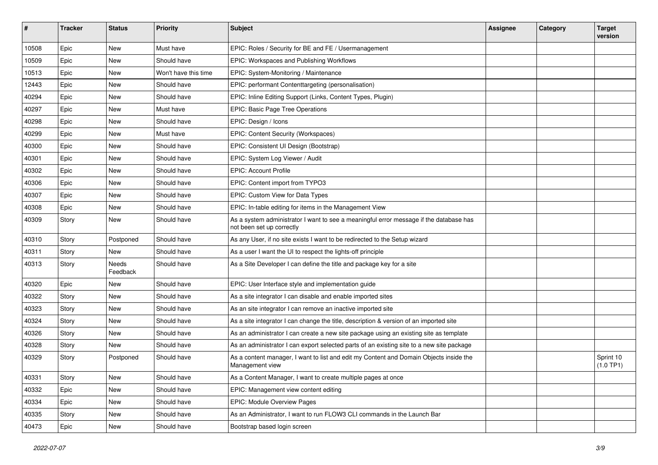| ∦     | <b>Tracker</b> | <b>Status</b>            | <b>Priority</b>      | <b>Subject</b>                                                                                                      | <b>Assignee</b> | Category | <b>Target</b><br>version |
|-------|----------------|--------------------------|----------------------|---------------------------------------------------------------------------------------------------------------------|-----------------|----------|--------------------------|
| 10508 | Epic           | <b>New</b>               | Must have            | EPIC: Roles / Security for BE and FE / Usermanagement                                                               |                 |          |                          |
| 10509 | Epic           | New                      | Should have          | EPIC: Workspaces and Publishing Workflows                                                                           |                 |          |                          |
| 10513 | Epic           | New                      | Won't have this time | EPIC: System-Monitoring / Maintenance                                                                               |                 |          |                          |
| 12443 | Epic           | New                      | Should have          | EPIC: performant Contenttargeting (personalisation)                                                                 |                 |          |                          |
| 40294 | Epic           | New                      | Should have          | EPIC: Inline Editing Support (Links, Content Types, Plugin)                                                         |                 |          |                          |
| 40297 | Epic           | New                      | Must have            | EPIC: Basic Page Tree Operations                                                                                    |                 |          |                          |
| 40298 | Epic           | <b>New</b>               | Should have          | EPIC: Design / Icons                                                                                                |                 |          |                          |
| 40299 | Epic           | New                      | Must have            | EPIC: Content Security (Workspaces)                                                                                 |                 |          |                          |
| 40300 | Epic           | New                      | Should have          | EPIC: Consistent UI Design (Bootstrap)                                                                              |                 |          |                          |
| 40301 | Epic           | New                      | Should have          | EPIC: System Log Viewer / Audit                                                                                     |                 |          |                          |
| 40302 | Epic           | New                      | Should have          | <b>EPIC: Account Profile</b>                                                                                        |                 |          |                          |
| 40306 | Epic           | New                      | Should have          | EPIC: Content import from TYPO3                                                                                     |                 |          |                          |
| 40307 | Epic           | New                      | Should have          | EPIC: Custom View for Data Types                                                                                    |                 |          |                          |
| 40308 | Epic           | New                      | Should have          | EPIC: In-table editing for items in the Management View                                                             |                 |          |                          |
| 40309 | Story          | New                      | Should have          | As a system administrator I want to see a meaningful error message if the database has<br>not been set up correctly |                 |          |                          |
| 40310 | Story          | Postponed                | Should have          | As any User, if no site exists I want to be redirected to the Setup wizard                                          |                 |          |                          |
| 40311 | Story          | New                      | Should have          | As a user I want the UI to respect the lights-off principle                                                         |                 |          |                          |
| 40313 | Story          | <b>Needs</b><br>Feedback | Should have          | As a Site Developer I can define the title and package key for a site                                               |                 |          |                          |
| 40320 | Epic           | New                      | Should have          | EPIC: User Interface style and implementation guide                                                                 |                 |          |                          |
| 40322 | Story          | New                      | Should have          | As a site integrator I can disable and enable imported sites                                                        |                 |          |                          |
| 40323 | Story          | New                      | Should have          | As an site integrator I can remove an inactive imported site                                                        |                 |          |                          |
| 40324 | Story          | New                      | Should have          | As a site integrator I can change the title, description & version of an imported site                              |                 |          |                          |
| 40326 | Story          | New                      | Should have          | As an administrator I can create a new site package using an existing site as template                              |                 |          |                          |
| 40328 | Story          | New                      | Should have          | As an administrator I can export selected parts of an existing site to a new site package                           |                 |          |                          |
| 40329 | Story          | Postponed                | Should have          | As a content manager, I want to list and edit my Content and Domain Objects inside the<br>Management view           |                 |          | Sprint 10<br>(1.0 TP1)   |
| 40331 | Story          | New                      | Should have          | As a Content Manager, I want to create multiple pages at once                                                       |                 |          |                          |
| 40332 | Epic           | New                      | Should have          | EPIC: Management view content editing                                                                               |                 |          |                          |
| 40334 | Epic           | New                      | Should have          | EPIC: Module Overview Pages                                                                                         |                 |          |                          |
| 40335 | Story          | New                      | Should have          | As an Administrator, I want to run FLOW3 CLI commands in the Launch Bar                                             |                 |          |                          |
| 40473 | Epic           | New                      | Should have          | Bootstrap based login screen                                                                                        |                 |          |                          |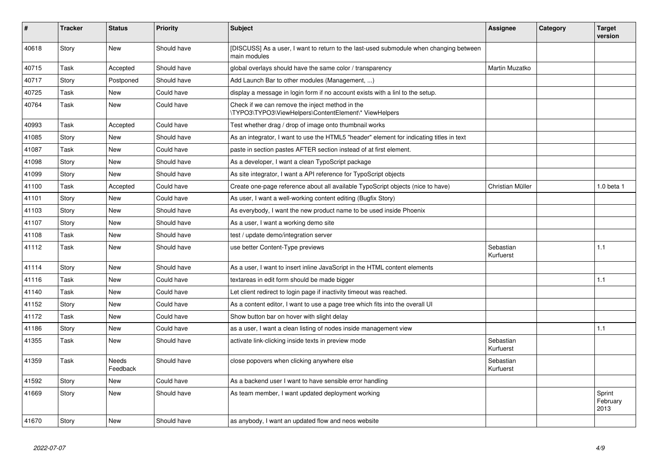| ∦     | <b>Tracker</b> | <b>Status</b>            | <b>Priority</b> | <b>Subject</b>                                                                                           | Assignee               | Category | <b>Target</b><br>version   |
|-------|----------------|--------------------------|-----------------|----------------------------------------------------------------------------------------------------------|------------------------|----------|----------------------------|
| 40618 | Story          | <b>New</b>               | Should have     | [DISCUSS] As a user, I want to return to the last-used submodule when changing between<br>main modules   |                        |          |                            |
| 40715 | Task           | Accepted                 | Should have     | global overlays should have the same color / transparency                                                | Martin Muzatko         |          |                            |
| 40717 | Story          | Postponed                | Should have     | Add Launch Bar to other modules (Management, )                                                           |                        |          |                            |
| 40725 | Task           | <b>New</b>               | Could have      | display a message in login form if no account exists with a linl to the setup.                           |                        |          |                            |
| 40764 | Task           | <b>New</b>               | Could have      | Check if we can remove the inject method in the<br>\TYPO3\TYPO3\ViewHelpers\ContentElement\* ViewHelpers |                        |          |                            |
| 40993 | Task           | Accepted                 | Could have      | Test whether drag / drop of image onto thumbnail works                                                   |                        |          |                            |
| 41085 | Story          | New                      | Should have     | As an integrator, I want to use the HTML5 "header" element for indicating titles in text                 |                        |          |                            |
| 41087 | Task           | New                      | Could have      | paste in section pastes AFTER section instead of at first element.                                       |                        |          |                            |
| 41098 | Story          | New                      | Should have     | As a developer, I want a clean TypoScript package                                                        |                        |          |                            |
| 41099 | Story          | <b>New</b>               | Should have     | As site integrator, I want a API reference for TypoScript objects                                        |                        |          |                            |
| 41100 | Task           | Accepted                 | Could have      | Create one-page reference about all available TypoScript objects (nice to have)                          | Christian Müller       |          | 1.0 beta 1                 |
| 41101 | Story          | <b>New</b>               | Could have      | As user, I want a well-working content editing (Bugfix Story)                                            |                        |          |                            |
| 41103 | Story          | <b>New</b>               | Should have     | As everybody, I want the new product name to be used inside Phoenix                                      |                        |          |                            |
| 41107 | Story          | New                      | Should have     | As a user, I want a working demo site                                                                    |                        |          |                            |
| 41108 | Task           | New                      | Should have     | test / update demo/integration server                                                                    |                        |          |                            |
| 41112 | Task           | <b>New</b>               | Should have     | use better Content-Type previews                                                                         | Sebastian<br>Kurfuerst |          | 1.1                        |
| 41114 | Story          | <b>New</b>               | Should have     | As a user, I want to insert inline JavaScript in the HTML content elements                               |                        |          |                            |
| 41116 | Task           | <b>New</b>               | Could have      | textareas in edit form should be made bigger                                                             |                        |          | 1.1                        |
| 41140 | Task           | <b>New</b>               | Could have      | Let client redirect to login page if inactivity timeout was reached.                                     |                        |          |                            |
| 41152 | Story          | New                      | Could have      | As a content editor, I want to use a page tree which fits into the overall UI                            |                        |          |                            |
| 41172 | Task           | <b>New</b>               | Could have      | Show button bar on hover with slight delay                                                               |                        |          |                            |
| 41186 | Story          | <b>New</b>               | Could have      | as a user, I want a clean listing of nodes inside management view                                        |                        |          | 1.1                        |
| 41355 | Task           | New                      | Should have     | activate link-clicking inside texts in preview mode                                                      | Sebastian<br>Kurfuerst |          |                            |
| 41359 | Task           | <b>Needs</b><br>Feedback | Should have     | close popovers when clicking anywhere else                                                               | Sebastian<br>Kurfuerst |          |                            |
| 41592 | Story          | <b>New</b>               | Could have      | As a backend user I want to have sensible error handling                                                 |                        |          |                            |
| 41669 | Story          | <b>New</b>               | Should have     | As team member, I want updated deployment working                                                        |                        |          | Sprint<br>February<br>2013 |
| 41670 | Story          | New                      | Should have     | as anybody, I want an updated flow and neos website                                                      |                        |          |                            |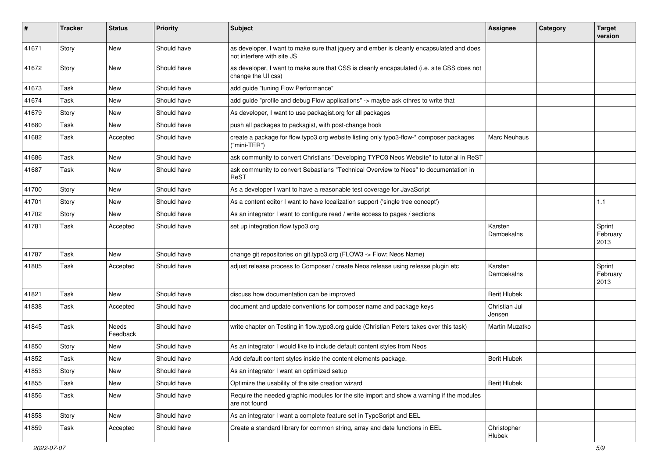| $\pmb{\#}$ | <b>Tracker</b> | <b>Status</b>     | <b>Priority</b> | Subject                                                                                                                | <b>Assignee</b>         | Category | <b>Target</b><br>version   |
|------------|----------------|-------------------|-----------------|------------------------------------------------------------------------------------------------------------------------|-------------------------|----------|----------------------------|
| 41671      | Story          | <b>New</b>        | Should have     | as developer, I want to make sure that jquery and ember is cleanly encapsulated and does<br>not interfere with site JS |                         |          |                            |
| 41672      | Story          | New               | Should have     | as developer, I want to make sure that CSS is cleanly encapsulated (i.e. site CSS does not<br>change the UI css)       |                         |          |                            |
| 41673      | Task           | New               | Should have     | add guide "tuning Flow Performance"                                                                                    |                         |          |                            |
| 41674      | Task           | <b>New</b>        | Should have     | add guide "profile and debug Flow applications" -> maybe ask othres to write that                                      |                         |          |                            |
| 41679      | Story          | New               | Should have     | As developer, I want to use packagist org for all packages                                                             |                         |          |                            |
| 41680      | Task           | New               | Should have     | push all packages to packagist, with post-change hook                                                                  |                         |          |                            |
| 41682      | Task           | Accepted          | Should have     | create a package for flow typo3 org website listing only typo3-flow-* composer packages<br>$('min-TER")$               | Marc Neuhaus            |          |                            |
| 41686      | Task           | New               | Should have     | ask community to convert Christians "Developing TYPO3 Neos Website" to tutorial in ReST                                |                         |          |                            |
| 41687      | Task           | New               | Should have     | ask community to convert Sebastians "Technical Overview to Neos" to documentation in<br>ReST                           |                         |          |                            |
| 41700      | Story          | <b>New</b>        | Should have     | As a developer I want to have a reasonable test coverage for JavaScript                                                |                         |          |                            |
| 41701      | Story          | New               | Should have     | As a content editor I want to have localization support ('single tree concept')                                        |                         |          | 1.1                        |
| 41702      | Story          | New               | Should have     | As an integrator I want to configure read / write access to pages / sections                                           |                         |          |                            |
| 41781      | Task           | Accepted          | Should have     | set up integration.flow.typo3.org                                                                                      | Karsten<br>Dambekalns   |          | Sprint<br>February<br>2013 |
| 41787      | Task           | <b>New</b>        | Should have     | change git repositories on git.typo3.org (FLOW3 -> Flow; Neos Name)                                                    |                         |          |                            |
| 41805      | Task           | Accepted          | Should have     | adjust release process to Composer / create Neos release using release plugin etc                                      | Karsten<br>Dambekalns   |          | Sprint<br>February<br>2013 |
| 41821      | Task           | <b>New</b>        | Should have     | discuss how documentation can be improved                                                                              | <b>Berit Hlubek</b>     |          |                            |
| 41838      | Task           | Accepted          | Should have     | document and update conventions for composer name and package keys                                                     | Christian Jul<br>Jensen |          |                            |
| 41845      | Task           | Needs<br>Feedback | Should have     | write chapter on Testing in flow.typo3.org guide (Christian Peters takes over this task)                               | Martin Muzatko          |          |                            |
| 41850      | Story          | New               | Should have     | As an integrator I would like to include default content styles from Neos                                              |                         |          |                            |
| 41852      | Task           | New               | Should have     | Add default content styles inside the content elements package.                                                        | <b>Berit Hlubek</b>     |          |                            |
| 41853      | Story          | New               | Should have     | As an integrator I want an optimized setup                                                                             |                         |          |                            |
| 41855      | Task           | New               | Should have     | Optimize the usability of the site creation wizard                                                                     | <b>Berit Hlubek</b>     |          |                            |
| 41856      | Task           | New               | Should have     | Require the needed graphic modules for the site import and show a warning if the modules<br>are not found              |                         |          |                            |
| 41858      | Story          | New               | Should have     | As an integrator I want a complete feature set in TypoScript and EEL                                                   |                         |          |                            |
| 41859      | Task           | Accepted          | Should have     | Create a standard library for common string, array and date functions in EEL                                           | Christopher<br>Hlubek   |          |                            |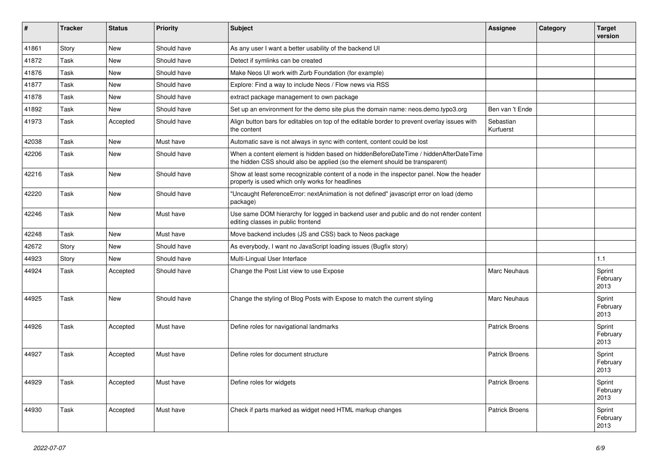| #     | <b>Tracker</b> | <b>Status</b> | <b>Priority</b> | <b>Subject</b>                                                                                                                                                       | <b>Assignee</b>        | Category | <b>Target</b><br>version   |
|-------|----------------|---------------|-----------------|----------------------------------------------------------------------------------------------------------------------------------------------------------------------|------------------------|----------|----------------------------|
| 41861 | Story          | <b>New</b>    | Should have     | As any user I want a better usability of the backend UI                                                                                                              |                        |          |                            |
| 41872 | Task           | <b>New</b>    | Should have     | Detect if symlinks can be created                                                                                                                                    |                        |          |                            |
| 41876 | Task           | <b>New</b>    | Should have     | Make Neos UI work with Zurb Foundation (for example)                                                                                                                 |                        |          |                            |
| 41877 | Task           | <b>New</b>    | Should have     | Explore: Find a way to include Neos / Flow news via RSS                                                                                                              |                        |          |                            |
| 41878 | Task           | <b>New</b>    | Should have     | extract package management to own package                                                                                                                            |                        |          |                            |
| 41892 | Task           | <b>New</b>    | Should have     | Set up an environment for the demo site plus the domain name: neos.demo.typo3.org                                                                                    | Ben van 't Ende        |          |                            |
| 41973 | Task           | Accepted      | Should have     | Align button bars for editables on top of the editable border to prevent overlay issues with<br>the content                                                          | Sebastian<br>Kurfuerst |          |                            |
| 42038 | Task           | <b>New</b>    | Must have       | Automatic save is not always in sync with content, content could be lost                                                                                             |                        |          |                            |
| 42206 | Task           | New           | Should have     | When a content element is hidden based on hiddenBeforeDateTime / hiddenAfterDateTime<br>the hidden CSS should also be applied (so the element should be transparent) |                        |          |                            |
| 42216 | Task           | <b>New</b>    | Should have     | Show at least some recognizable content of a node in the inspector panel. Now the header<br>property is used which only works for headlines                          |                        |          |                            |
| 42220 | Task           | <b>New</b>    | Should have     | "Uncaught ReferenceError: nextAnimation is not defined" javascript error on load (demo<br>package)                                                                   |                        |          |                            |
| 42246 | Task           | New           | Must have       | Use same DOM hierarchy for logged in backend user and public and do not render content<br>editing classes in public frontend                                         |                        |          |                            |
| 42248 | Task           | <b>New</b>    | Must have       | Move backend includes (JS and CSS) back to Neos package                                                                                                              |                        |          |                            |
| 42672 | Story          | <b>New</b>    | Should have     | As everybody, I want no JavaScript loading issues (Bugfix story)                                                                                                     |                        |          |                            |
| 44923 | Story          | New           | Should have     | Multi-Lingual User Interface                                                                                                                                         |                        |          | 1.1                        |
| 44924 | Task           | Accepted      | Should have     | Change the Post List view to use Expose                                                                                                                              | Marc Neuhaus           |          | Sprint<br>February<br>2013 |
| 44925 | Task           | <b>New</b>    | Should have     | Change the styling of Blog Posts with Expose to match the current styling                                                                                            | Marc Neuhaus           |          | Sprint<br>February<br>2013 |
| 44926 | Task           | Accepted      | Must have       | Define roles for navigational landmarks                                                                                                                              | <b>Patrick Broens</b>  |          | Sprint<br>February<br>2013 |
| 44927 | Task           | Accepted      | Must have       | Define roles for document structure                                                                                                                                  | <b>Patrick Broens</b>  |          | Sprint<br>February<br>2013 |
| 44929 | Task           | Accepted      | Must have       | Define roles for widgets                                                                                                                                             | <b>Patrick Broens</b>  |          | Sprint<br>February<br>2013 |
| 44930 | Task           | Accepted      | Must have       | Check if parts marked as widget need HTML markup changes                                                                                                             | <b>Patrick Broens</b>  |          | Sprint<br>February<br>2013 |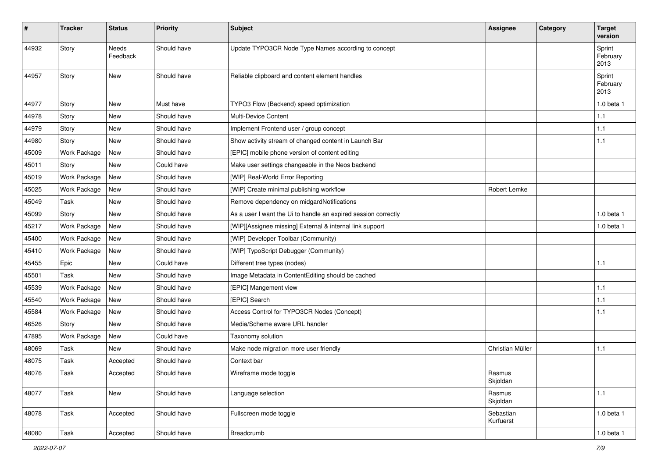| $\#$  | <b>Tracker</b> | <b>Status</b>            | <b>Priority</b> | <b>Subject</b>                                                 | <b>Assignee</b>        | Category | <b>Target</b><br>version   |
|-------|----------------|--------------------------|-----------------|----------------------------------------------------------------|------------------------|----------|----------------------------|
| 44932 | Story          | <b>Needs</b><br>Feedback | Should have     | Update TYPO3CR Node Type Names according to concept            |                        |          | Sprint<br>February<br>2013 |
| 44957 | Story          | New                      | Should have     | Reliable clipboard and content element handles                 |                        |          | Sprint<br>February<br>2013 |
| 44977 | Story          | New                      | Must have       | TYPO3 Flow (Backend) speed optimization                        |                        |          | 1.0 beta 1                 |
| 44978 | Story          | <b>New</b>               | Should have     | Multi-Device Content                                           |                        |          | 1.1                        |
| 44979 | Story          | <b>New</b>               | Should have     | Implement Frontend user / group concept                        |                        |          | 1.1                        |
| 44980 | Story          | New                      | Should have     | Show activity stream of changed content in Launch Bar          |                        |          | 1.1                        |
| 45009 | Work Package   | New                      | Should have     | [EPIC] mobile phone version of content editing                 |                        |          |                            |
| 45011 | Story          | New                      | Could have      | Make user settings changeable in the Neos backend              |                        |          |                            |
| 45019 | Work Package   | New                      | Should have     | [WIP] Real-World Error Reporting                               |                        |          |                            |
| 45025 | Work Package   | New                      | Should have     | [WIP] Create minimal publishing workflow                       | Robert Lemke           |          |                            |
| 45049 | Task           | New                      | Should have     | Remove dependency on midgardNotifications                      |                        |          |                            |
| 45099 | Story          | New                      | Should have     | As a user I want the Ui to handle an expired session correctly |                        |          | 1.0 beta 1                 |
| 45217 | Work Package   | New                      | Should have     | [WIP][Assignee missing] External & internal link support       |                        |          | 1.0 beta 1                 |
| 45400 | Work Package   | New                      | Should have     | [WIP] Developer Toolbar (Community)                            |                        |          |                            |
| 45410 | Work Package   | <b>New</b>               | Should have     | [WIP] TypoScript Debugger (Community)                          |                        |          |                            |
| 45455 | Epic           | New                      | Could have      | Different tree types (nodes)                                   |                        |          | 1.1                        |
| 45501 | Task           | <b>New</b>               | Should have     | Image Metadata in ContentEditing should be cached              |                        |          |                            |
| 45539 | Work Package   | New                      | Should have     | [EPIC] Mangement view                                          |                        |          | 1.1                        |
| 45540 | Work Package   | New                      | Should have     | [EPIC] Search                                                  |                        |          | 1.1                        |
| 45584 | Work Package   | <b>New</b>               | Should have     | Access Control for TYPO3CR Nodes (Concept)                     |                        |          | 1.1                        |
| 46526 | Story          | New                      | Should have     | Media/Scheme aware URL handler                                 |                        |          |                            |
| 47895 | Work Package   | New                      | Could have      | Taxonomy solution                                              |                        |          |                            |
| 48069 | Task           | <b>New</b>               | Should have     | Make node migration more user friendly                         | Christian Müller       |          | 1.1                        |
| 48075 | Task           | Accepted                 | Should have     | Context bar                                                    |                        |          |                            |
| 48076 | Task           | Accepted                 | Should have     | Wireframe mode toggle                                          | Rasmus<br>Skjoldan     |          |                            |
| 48077 | Task           | New                      | Should have     | Language selection                                             | Rasmus<br>Skjoldan     |          | 1.1                        |
| 48078 | Task           | Accepted                 | Should have     | Fullscreen mode toggle                                         | Sebastian<br>Kurfuerst |          | 1.0 beta 1                 |
| 48080 | Task           | Accepted                 | Should have     | Breadcrumb                                                     |                        |          | 1.0 beta 1                 |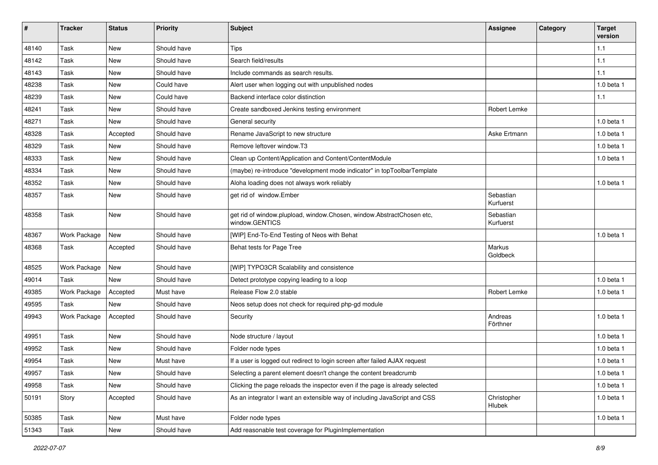| #     | <b>Tracker</b> | <b>Status</b> | <b>Priority</b> | <b>Subject</b>                                                                          | <b>Assignee</b>        | Category | <b>Target</b><br>version |
|-------|----------------|---------------|-----------------|-----------------------------------------------------------------------------------------|------------------------|----------|--------------------------|
| 48140 | Task           | New           | Should have     | <b>Tips</b>                                                                             |                        |          | 1.1                      |
| 48142 | Task           | <b>New</b>    | Should have     | Search field/results                                                                    |                        |          | 1.1                      |
| 48143 | Task           | <b>New</b>    | Should have     | Include commands as search results.                                                     |                        |          | 1.1                      |
| 48238 | Task           | New           | Could have      | Alert user when logging out with unpublished nodes                                      |                        |          | 1.0 beta 1               |
| 48239 | Task           | <b>New</b>    | Could have      | Backend interface color distinction                                                     |                        |          | 1.1                      |
| 48241 | Task           | New           | Should have     | Create sandboxed Jenkins testing environment                                            | Robert Lemke           |          |                          |
| 48271 | Task           | New           | Should have     | General security                                                                        |                        |          | 1.0 beta 1               |
| 48328 | Task           | Accepted      | Should have     | Rename JavaScript to new structure                                                      | Aske Ertmann           |          | $1.0$ beta $1$           |
| 48329 | Task           | New           | Should have     | Remove leftover window.T3                                                               |                        |          | 1.0 beta 1               |
| 48333 | Task           | <b>New</b>    | Should have     | Clean up Content/Application and Content/ContentModule                                  |                        |          | 1.0 beta 1               |
| 48334 | Task           | <b>New</b>    | Should have     | (maybe) re-introduce "development mode indicator" in topToolbarTemplate                 |                        |          |                          |
| 48352 | Task           | <b>New</b>    | Should have     | Aloha loading does not always work reliably                                             |                        |          | 1.0 beta 1               |
| 48357 | Task           | New           | Should have     | get rid of window.Ember                                                                 | Sebastian<br>Kurfuerst |          |                          |
| 48358 | Task           | <b>New</b>    | Should have     | get rid of window.plupload, window.Chosen, window.AbstractChosen etc,<br>window.GENTICS | Sebastian<br>Kurfuerst |          |                          |
| 48367 | Work Package   | New           | Should have     | [WIP] End-To-End Testing of Neos with Behat                                             |                        |          | 1.0 beta 1               |
| 48368 | Task           | Accepted      | Should have     | Behat tests for Page Tree                                                               | Markus<br>Goldbeck     |          |                          |
| 48525 | Work Package   | New           | Should have     | [WIP] TYPO3CR Scalability and consistence                                               |                        |          |                          |
| 49014 | Task           | New           | Should have     | Detect prototype copying leading to a loop                                              |                        |          | 1.0 beta 1               |
| 49385 | Work Package   | Accepted      | Must have       | Release Flow 2.0 stable                                                                 | Robert Lemke           |          | 1.0 beta 1               |
| 49595 | Task           | <b>New</b>    | Should have     | Neos setup does not check for required php-gd module                                    |                        |          |                          |
| 49943 | Work Package   | Accepted      | Should have     | Security                                                                                | Andreas<br>Förthner    |          | $1.0$ beta $1$           |
| 49951 | Task           | New           | Should have     | Node structure / layout                                                                 |                        |          | 1.0 beta 1               |
| 49952 | Task           | <b>New</b>    | Should have     | Folder node types                                                                       |                        |          | 1.0 beta 1               |
| 49954 | Task           | New           | Must have       | If a user is logged out redirect to login screen after failed AJAX request              |                        |          | 1.0 beta 1               |
| 49957 | Task           | New           | Should have     | Selecting a parent element doesn't change the content breadcrumb                        |                        |          | $1.0$ beta $1$           |
| 49958 | Task           | New           | Should have     | Clicking the page reloads the inspector even if the page is already selected            |                        |          | 1.0 beta 1               |
| 50191 | Story          | Accepted      | Should have     | As an integrator I want an extensible way of including JavaScript and CSS               | Christopher<br>Hlubek  |          | 1.0 beta 1               |
| 50385 | Task           | New           | Must have       | Folder node types                                                                       |                        |          | 1.0 beta 1               |
| 51343 | Task           | New           | Should have     | Add reasonable test coverage for PluginImplementation                                   |                        |          |                          |